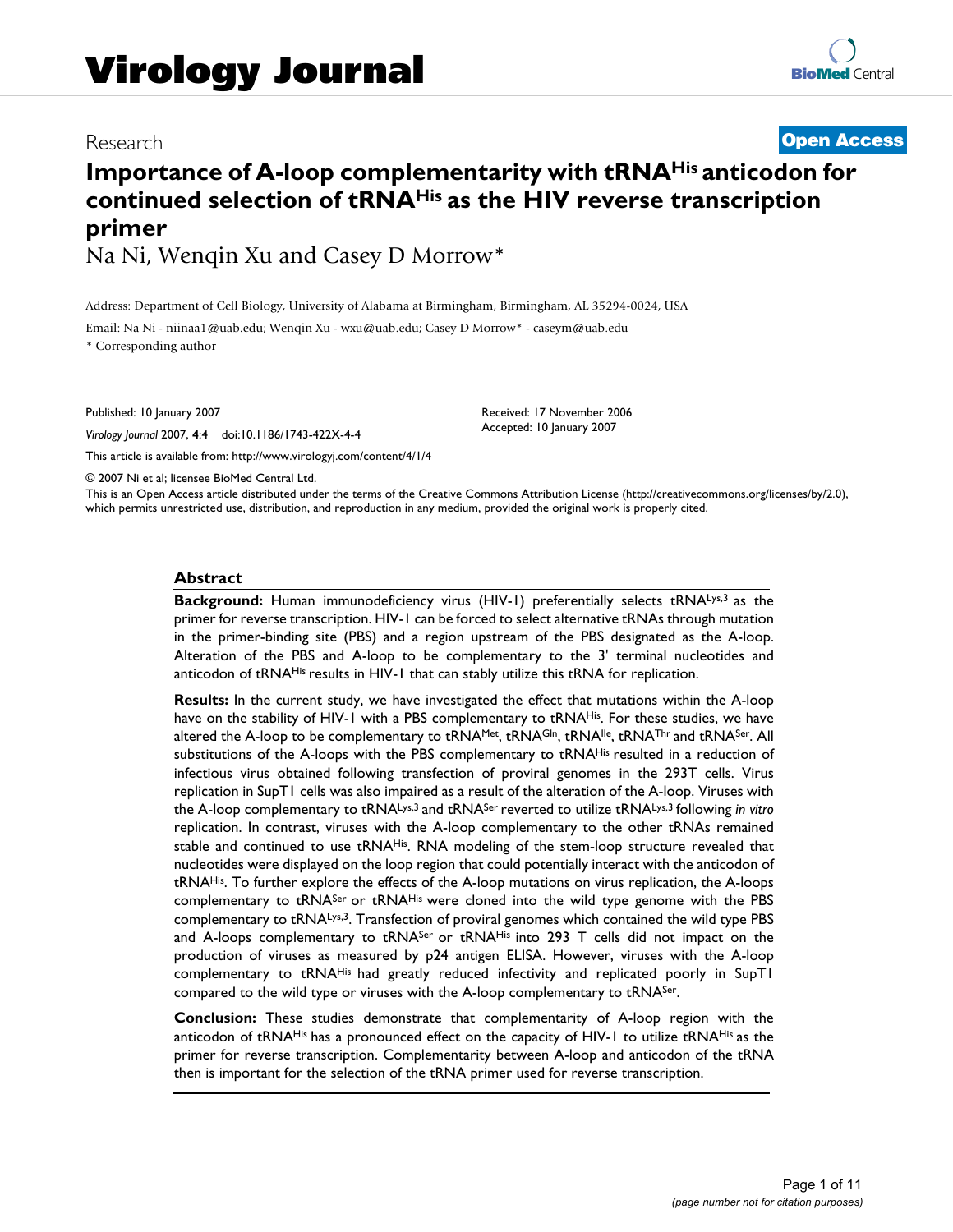#### Research **[Open Access](http://www.biomedcentral.com/info/about/charter/)**

## **Importance of A-loop complementarity with tRNAHis anticodon for continued selection of tRNAHis as the HIV reverse transcription primer**

Na Ni, Wenqin Xu and Casey D Morrow\*

Address: Department of Cell Biology, University of Alabama at Birmingham, Birmingham, AL 35294-0024, USA

Email: Na Ni - niinaa1@uab.edu; Wenqin Xu - wxu@uab.edu; Casey D Morrow\* - caseym@uab.edu \* Corresponding author

Published: 10 January 2007

*Virology Journal* 2007, **4**:4 doi:10.1186/1743-422X-4-4

[This article is available from: http://www.virologyj.com/content/4/1/4](http://www.virologyj.com/content/4/1/4)

Received: 17 November 2006 Accepted: 10 January 2007

© 2007 Ni et al; licensee BioMed Central Ltd.

This is an Open Access article distributed under the terms of the Creative Commons Attribution License [\(http://creativecommons.org/licenses/by/2.0\)](http://creativecommons.org/licenses/by/2.0), which permits unrestricted use, distribution, and reproduction in any medium, provided the original work is properly cited.

#### **Abstract**

**Background:** Human immunodeficiency virus (HIV-1) preferentially selects tRNALys,3 as the primer for reverse transcription. HIV-1 can be forced to select alternative tRNAs through mutation in the primer-binding site (PBS) and a region upstream of the PBS designated as the A-loop. Alteration of the PBS and A-loop to be complementary to the 3' terminal nucleotides and anticodon of tRNAHis results in HIV-1 that can stably utilize this tRNA for replication.

**Results:** In the current study, we have investigated the effect that mutations within the A-loop have on the stability of HIV-1 with a PBS complementary to tRNAHis. For these studies, we have altered the A-loop to be complementary to tRNAMet, tRNA<sup>GIn</sup>, tRNA<sup>IIe</sup>, tRNA<sup>Thr</sup> and tRNA<sup>Ser</sup>. All substitutions of the A-loops with the PBS complementary to tRNAHis resulted in a reduction of infectious virus obtained following transfection of proviral genomes in the 293T cells. Virus replication in SupT1 cells was also impaired as a result of the alteration of the A-loop. Viruses with the A-loop complementary to tRNALys,3 and tRNASer reverted to utilize tRNALys,3 following *in vitro* replication. In contrast, viruses with the A-loop complementary to the other tRNAs remained stable and continued to use tRNA<sup>His</sup>. RNA modeling of the stem-loop structure revealed that nucleotides were displayed on the loop region that could potentially interact with the anticodon of tRNAHis. To further explore the effects of the A-loop mutations on virus replication, the A-loops complementary to tRNA<sup>Ser</sup> or tRNA<sup>His</sup> were cloned into the wild type genome with the PBS complementary to tRNALys,3. Transfection of proviral genomes which contained the wild type PBS and A-loops complementary to tRNASer or tRNAHis into 293 T cells did not impact on the production of viruses as measured by p24 antigen ELISA. However, viruses with the A-loop complementary to tRNAHis had greatly reduced infectivity and replicated poorly in SupT1 compared to the wild type or viruses with the A-loop complementary to tRNA<sup>Ser</sup>.

**Conclusion:** These studies demonstrate that complementarity of A-loop region with the anticodon of tRNAHis has a pronounced effect on the capacity of HIV-1 to utilize tRNAHis as the primer for reverse transcription. Complementarity between A-loop and anticodon of the tRNA then is important for the selection of the tRNA primer used for reverse transcription.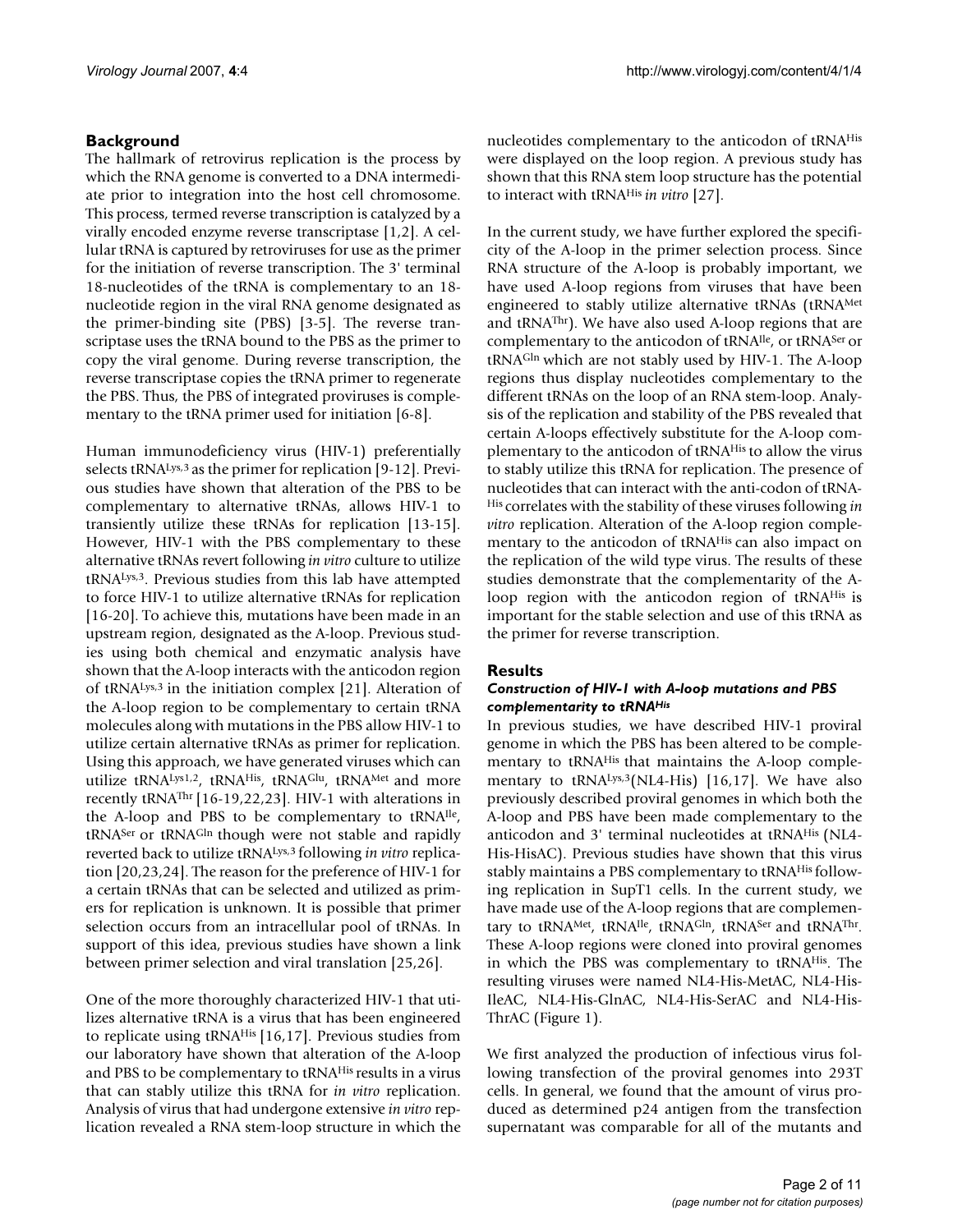#### **Background**

The hallmark of retrovirus replication is the process by which the RNA genome is converted to a DNA intermediate prior to integration into the host cell chromosome. This process, termed reverse transcription is catalyzed by a virally encoded enzyme reverse transcriptase [1,2]. A cellular tRNA is captured by retroviruses for use as the primer for the initiation of reverse transcription. The 3' terminal 18-nucleotides of the tRNA is complementary to an 18 nucleotide region in the viral RNA genome designated as the primer-binding site (PBS) [3-5]. The reverse transcriptase uses the tRNA bound to the PBS as the primer to copy the viral genome. During reverse transcription, the reverse transcriptase copies the tRNA primer to regenerate the PBS. Thus, the PBS of integrated proviruses is complementary to the tRNA primer used for initiation [6-8].

Human immunodeficiency virus (HIV-1) preferentially selects tRNALys,<sup>3</sup> as the primer for replication [9-12]. Previous studies have shown that alteration of the PBS to be complementary to alternative tRNAs, allows HIV-1 to transiently utilize these tRNAs for replication [13-15]. However, HIV-1 with the PBS complementary to these alternative tRNAs revert following *in vitro* culture to utilize tRNALys,3. Previous studies from this lab have attempted to force HIV-1 to utilize alternative tRNAs for replication [16-20]. To achieve this, mutations have been made in an upstream region, designated as the A-loop. Previous studies using both chemical and enzymatic analysis have shown that the A-loop interacts with the anticodon region of tRNALys,3 in the initiation complex [21]. Alteration of the A-loop region to be complementary to certain tRNA molecules along with mutations in the PBS allow HIV-1 to utilize certain alternative tRNAs as primer for replication. Using this approach, we have generated viruses which can utilize tRNALys1,2, tRNAHis, tRNAGlu, tRNAMet and more recently tRNAThr [16-19,22,23]. HIV-1 with alterations in the A-loop and PBS to be complementary to tRNAIle, tRNASer or tRNAGln though were not stable and rapidly reverted back to utilize tRNALys,3 following *in vitro* replication [20,23,24]. The reason for the preference of HIV-1 for a certain tRNAs that can be selected and utilized as primers for replication is unknown. It is possible that primer selection occurs from an intracellular pool of tRNAs. In support of this idea, previous studies have shown a link between primer selection and viral translation [25,26].

One of the more thoroughly characterized HIV-1 that utilizes alternative tRNA is a virus that has been engineered to replicate using tRNAHis [16,17]. Previous studies from our laboratory have shown that alteration of the A-loop and PBS to be complementary to tRNAHis results in a virus that can stably utilize this tRNA for *in vitro* replication. Analysis of virus that had undergone extensive *in vitro* replication revealed a RNA stem-loop structure in which the nucleotides complementary to the anticodon of tRNAHis were displayed on the loop region. A previous study has shown that this RNA stem loop structure has the potential to interact with tRNAHis *in vitro* [27].

In the current study, we have further explored the specificity of the A-loop in the primer selection process. Since RNA structure of the A-loop is probably important, we have used A-loop regions from viruses that have been engineered to stably utilize alternative tRNAs (tRNAMet and tRNAThr). We have also used A-loop regions that are complementary to the anticodon of tRNA<sup>Ile</sup>, or tRNA<sup>Ser</sup> or tRNAGln which are not stably used by HIV-1. The A-loop regions thus display nucleotides complementary to the different tRNAs on the loop of an RNA stem-loop. Analysis of the replication and stability of the PBS revealed that certain A-loops effectively substitute for the A-loop complementary to the anticodon of tRNAHis to allow the virus to stably utilize this tRNA for replication. The presence of nucleotides that can interact with the anti-codon of tRNA-His correlates with the stability of these viruses following *in vitro* replication. Alteration of the A-loop region complementary to the anticodon of tRNAHis can also impact on the replication of the wild type virus. The results of these studies demonstrate that the complementarity of the Aloop region with the anticodon region of tRNA<sup>His</sup> is important for the stable selection and use of this tRNA as the primer for reverse transcription.

#### **Results**

#### *Construction of HIV-1 with A-loop mutations and PBS complementarity to tRNAHis*

In previous studies, we have described HIV-1 proviral genome in which the PBS has been altered to be complementary to tRNA<sup>His</sup> that maintains the A-loop complementary to tRNA<sup>Lys,3</sup>(NL4-His) [16,17]. We have also previously described proviral genomes in which both the A-loop and PBS have been made complementary to the anticodon and 3' terminal nucleotides at tRNAHis (NL4- His-HisAC). Previous studies have shown that this virus stably maintains a PBS complementary to tRNA<sup>His</sup> following replication in SupT1 cells. In the current study, we have made use of the A-loop regions that are complementary to tRNAMet, tRNAIle, tRNAGIn, tRNASer and tRNAThr. These A-loop regions were cloned into proviral genomes in which the PBS was complementary to tRNAHis. The resulting viruses were named NL4-His-MetAC, NL4-His-IleAC, NL4-His-GlnAC, NL4-His-SerAC and NL4-His-ThrAC (Figure 1).

We first analyzed the production of infectious virus following transfection of the proviral genomes into 293T cells. In general, we found that the amount of virus produced as determined p24 antigen from the transfection supernatant was comparable for all of the mutants and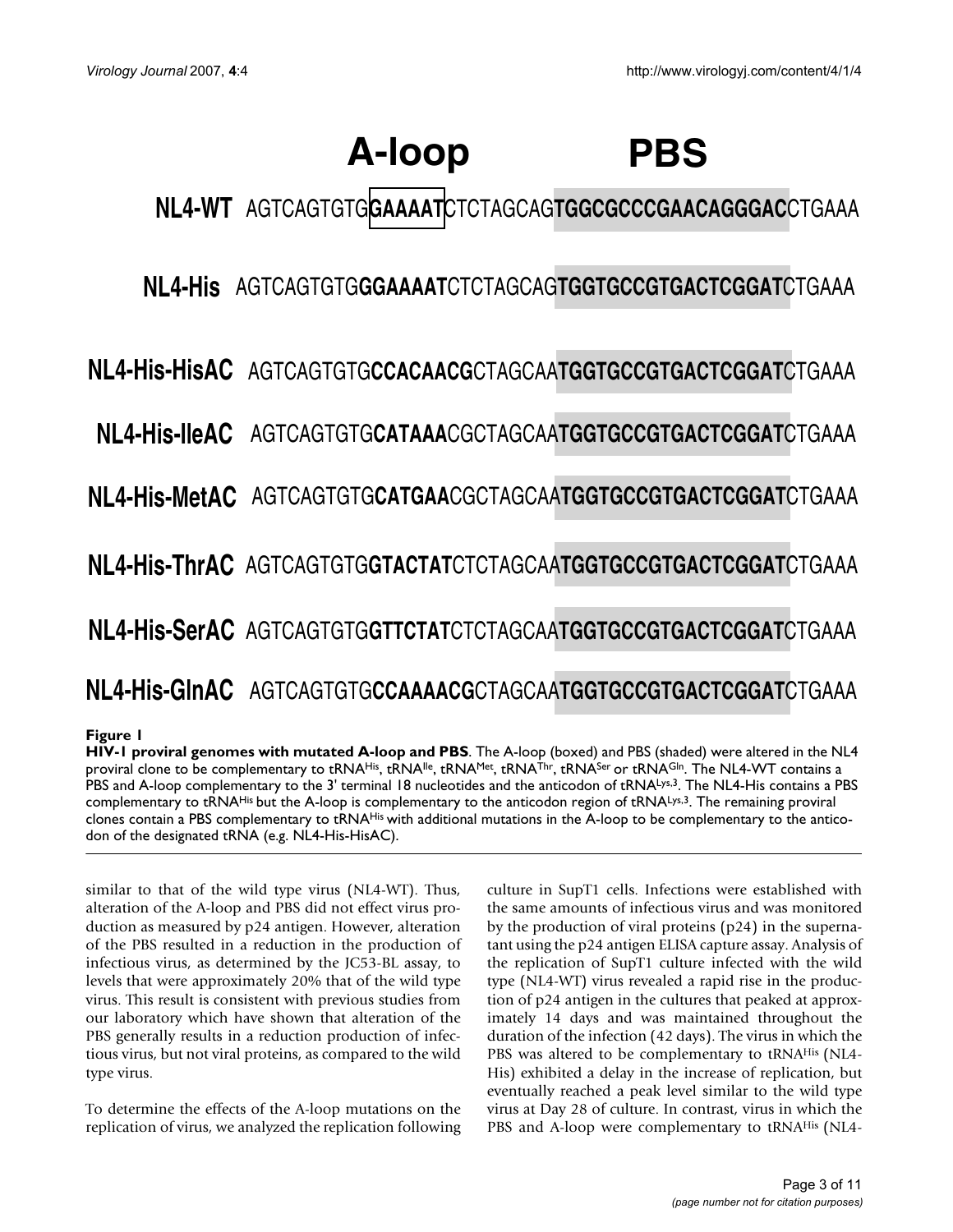# **A-loop PBS**

**NL4-WT** AGTCAGTGTG**GAAAAT**CTCTAGCAG**TGGCGCCCGAACAGGGAC**CTGAAA

**NL4-His** AGTCAGTGTG**GGAAAAT**CTCTAGCAG**TGGTGCCGTGACTCGGAT**CTGAAA

AGTCAGTGTG**CCACAACG**CTAGCAA**TGGTGCCGTGACTCGGAT**CTGAAA **NL4-His-HisAC**

**NL4-His-IleAC** AGTCAGTGTG**CATAAA**CGCTAGCAA**TGGTGCCGTGACTCGGAT**CTGAAA

AGTCAGTGTG**CATGAA**CGCTAGCAA**TGGTGCCGTGACTCGGAT**CTGAAA **NL4-His-MetAC**

AGTCAGTGTG**GTACTAT**CTCTAGCAA**TGGTGCCGTGACTCGGAT**CTGAAA **NL4-His-ThrAC**

AGTCAGTGTG**GTTCTAT**CTCTAGCAA**TGGTGCCGTGACTCGGAT**CTGAAA **NL4-His-SerAC**

# AGTCAGTGTG**CCAAAACG**CTAGCAA**TGGTGCCGTGACTCGGAT**CTGAAA **NL4-His-GlnAC**

#### **Figure 1**

**HIV-1 proviral genomes with mutated A-loop and PBS**. The A-loop (boxed) and PBS (shaded) were altered in the NL4 proviral clone to be complementary to tRNAHis, tRNAIIe, tRNAMet, tRNAThr, tRNASer or tRNAGIn. The NL4-WT contains a PBS and A-loop complementary to the 3' terminal 18 nucleotides and the anticodon of tRNALys,3. The NL4-His contains a PBS complementary to tRNA<sup>His</sup> but the A-loop is complementary to the anticodon region of tRNALys,3. The remaining proviral clones contain a PBS complementary to tRNAHis with additional mutations in the A-loop to be complementary to the anticodon of the designated tRNA (e.g. NL4-His-HisAC).

similar to that of the wild type virus (NL4-WT). Thus, alteration of the A-loop and PBS did not effect virus production as measured by p24 antigen. However, alteration of the PBS resulted in a reduction in the production of infectious virus, as determined by the JC53-BL assay, to levels that were approximately 20% that of the wild type virus. This result is consistent with previous studies from our laboratory which have shown that alteration of the PBS generally results in a reduction production of infectious virus, but not viral proteins, as compared to the wild type virus.

To determine the effects of the A-loop mutations on the replication of virus, we analyzed the replication following culture in SupT1 cells. Infections were established with the same amounts of infectious virus and was monitored by the production of viral proteins (p24) in the supernatant using the p24 antigen ELISA capture assay. Analysis of the replication of SupT1 culture infected with the wild type (NL4-WT) virus revealed a rapid rise in the production of p24 antigen in the cultures that peaked at approximately 14 days and was maintained throughout the duration of the infection (42 days). The virus in which the PBS was altered to be complementary to tRNAHis (NL4- His) exhibited a delay in the increase of replication, but eventually reached a peak level similar to the wild type virus at Day 28 of culture. In contrast, virus in which the PBS and A-loop were complementary to tRNA<sup>His</sup> (NL4-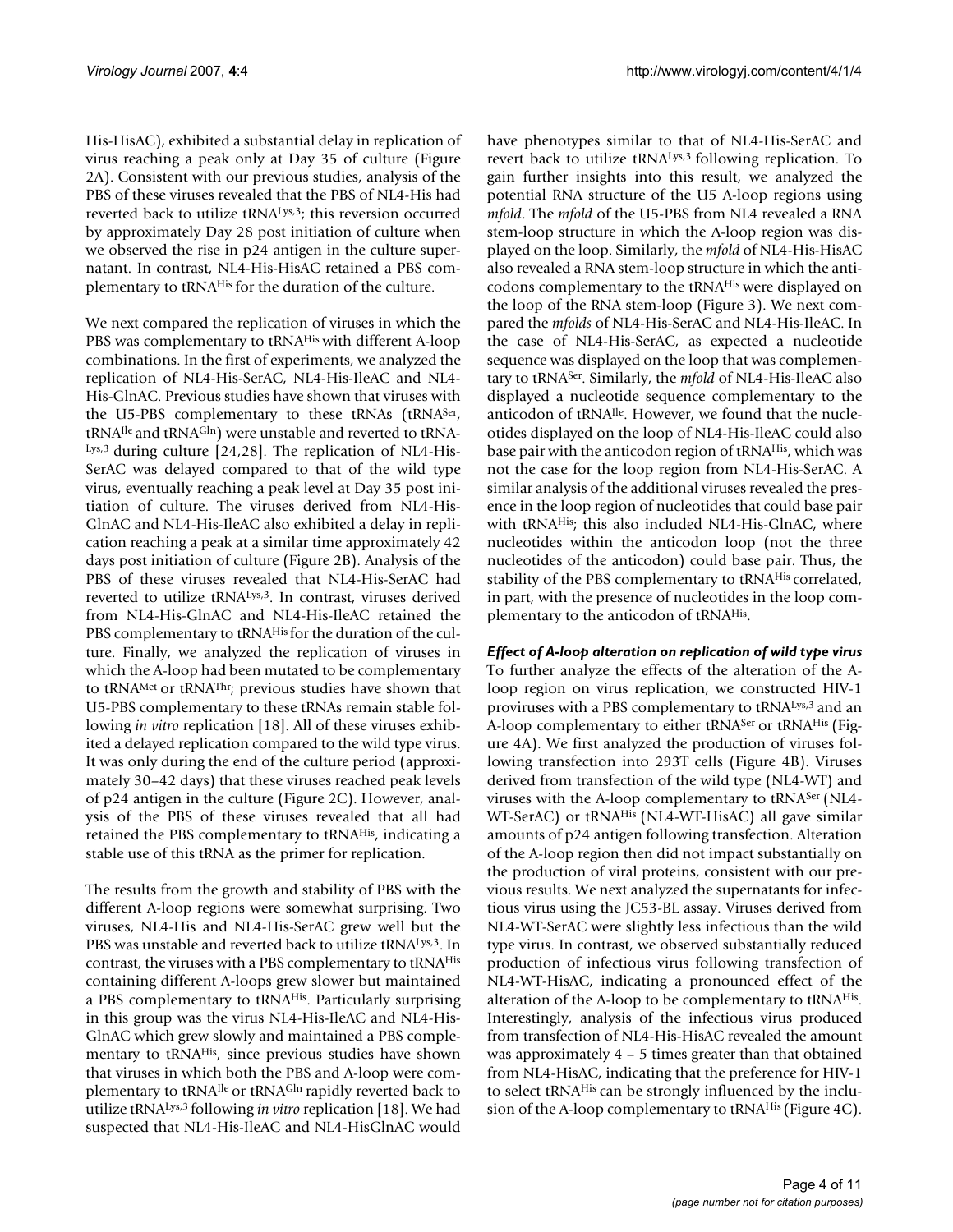His-HisAC), exhibited a substantial delay in replication of virus reaching a peak only at Day 35 of culture (Figure 2A). Consistent with our previous studies, analysis of the PBS of these viruses revealed that the PBS of NL4-His had reverted back to utilize tRNALys,3; this reversion occurred by approximately Day 28 post initiation of culture when we observed the rise in p24 antigen in the culture supernatant. In contrast, NL4-His-HisAC retained a PBS complementary to tRNAHis for the duration of the culture.

We next compared the replication of viruses in which the PBS was complementary to tRNA<sup>His</sup> with different A-loop combinations. In the first of experiments, we analyzed the replication of NL4-His-SerAC, NL4-His-IleAC and NL4- His-GlnAC. Previous studies have shown that viruses with the U5-PBS complementary to these tRNAs (tRNASer, tRNAIle and tRNAGln) were unstable and reverted to tRNA-Lys,3 during culture [24,28]. The replication of NL4-His-SerAC was delayed compared to that of the wild type virus, eventually reaching a peak level at Day 35 post initiation of culture. The viruses derived from NL4-His-GlnAC and NL4-His-IleAC also exhibited a delay in replication reaching a peak at a similar time approximately 42 days post initiation of culture (Figure 2B). Analysis of the PBS of these viruses revealed that NL4-His-SerAC had reverted to utilize tRNALys,3. In contrast, viruses derived from NL4-His-GlnAC and NL4-His-IleAC retained the PBS complementary to tRNAHis for the duration of the culture. Finally, we analyzed the replication of viruses in which the A-loop had been mutated to be complementary to tRNAMet or tRNAThr; previous studies have shown that U5-PBS complementary to these tRNAs remain stable following *in vitro* replication [18]. All of these viruses exhibited a delayed replication compared to the wild type virus. It was only during the end of the culture period (approximately 30–42 days) that these viruses reached peak levels of p24 antigen in the culture (Figure 2C). However, analysis of the PBS of these viruses revealed that all had retained the PBS complementary to tRNAHis, indicating a stable use of this tRNA as the primer for replication.

The results from the growth and stability of PBS with the different A-loop regions were somewhat surprising. Two viruses, NL4-His and NL4-His-SerAC grew well but the PBS was unstable and reverted back to utilize tRNALys,3. In contrast, the viruses with a PBS complementary to tRNAHis containing different A-loops grew slower but maintained a PBS complementary to tRNAHis. Particularly surprising in this group was the virus NL4-His-IleAC and NL4-His-GlnAC which grew slowly and maintained a PBS complementary to tRNAHis, since previous studies have shown that viruses in which both the PBS and A-loop were complementary to tRNA<sup>Ile</sup> or tRNA<sup>Gln</sup> rapidly reverted back to utilize tRNALys,3 following *in vitro* replication [18]. We had suspected that NL4-His-IleAC and NL4-HisGlnAC would

have phenotypes similar to that of NL4-His-SerAC and revert back to utilize tRNALys,3 following replication. To gain further insights into this result, we analyzed the potential RNA structure of the U5 A-loop regions using *mfold*. The *mfold* of the U5-PBS from NL4 revealed a RNA stem-loop structure in which the A-loop region was displayed on the loop. Similarly, the *mfold* of NL4-His-HisAC also revealed a RNA stem-loop structure in which the anticodons complementary to the tRNAHis were displayed on the loop of the RNA stem-loop (Figure 3). We next compared the *mfolds* of NL4-His-SerAC and NL4-His-IleAC. In the case of NL4-His-SerAC, as expected a nucleotide sequence was displayed on the loop that was complementary to tRNASer. Similarly, the *mfold* of NL4-His-IleAC also displayed a nucleotide sequence complementary to the anticodon of tRNAIle. However, we found that the nucleotides displayed on the loop of NL4-His-IleAC could also base pair with the anticodon region of tRNA<sup>His</sup>, which was not the case for the loop region from NL4-His-SerAC. A similar analysis of the additional viruses revealed the presence in the loop region of nucleotides that could base pair with tRNA<sup>His</sup>; this also included NL4-His-GlnAC, where nucleotides within the anticodon loop (not the three nucleotides of the anticodon) could base pair. Thus, the stability of the PBS complementary to tRNAHis correlated, in part, with the presence of nucleotides in the loop complementary to the anticodon of tRNAHis.

*Effect of A-loop alteration on replication of wild type virus* To further analyze the effects of the alteration of the Aloop region on virus replication, we constructed HIV-1 proviruses with a PBS complementary to tRNALys,3 and an A-loop complementary to either tRNA<sup>Ser</sup> or tRNA<sup>His</sup> (Figure 4A). We first analyzed the production of viruses following transfection into 293T cells (Figure 4B). Viruses derived from transfection of the wild type (NL4-WT) and viruses with the A-loop complementary to tRNASer (NL4- WT-SerAC) or tRNA<sup>His</sup> (NL4-WT-HisAC) all gave similar amounts of p24 antigen following transfection. Alteration of the A-loop region then did not impact substantially on the production of viral proteins, consistent with our previous results. We next analyzed the supernatants for infectious virus using the JC53-BL assay. Viruses derived from NL4-WT-SerAC were slightly less infectious than the wild type virus. In contrast, we observed substantially reduced production of infectious virus following transfection of NL4-WT-HisAC, indicating a pronounced effect of the alteration of the A-loop to be complementary to tRNAHis. Interestingly, analysis of the infectious virus produced from transfection of NL4-His-HisAC revealed the amount was approximately 4 – 5 times greater than that obtained from NL4-HisAC, indicating that the preference for HIV-1 to select tRNAHis can be strongly influenced by the inclusion of the A-loop complementary to tRNA<sup>His</sup> (Figure 4C).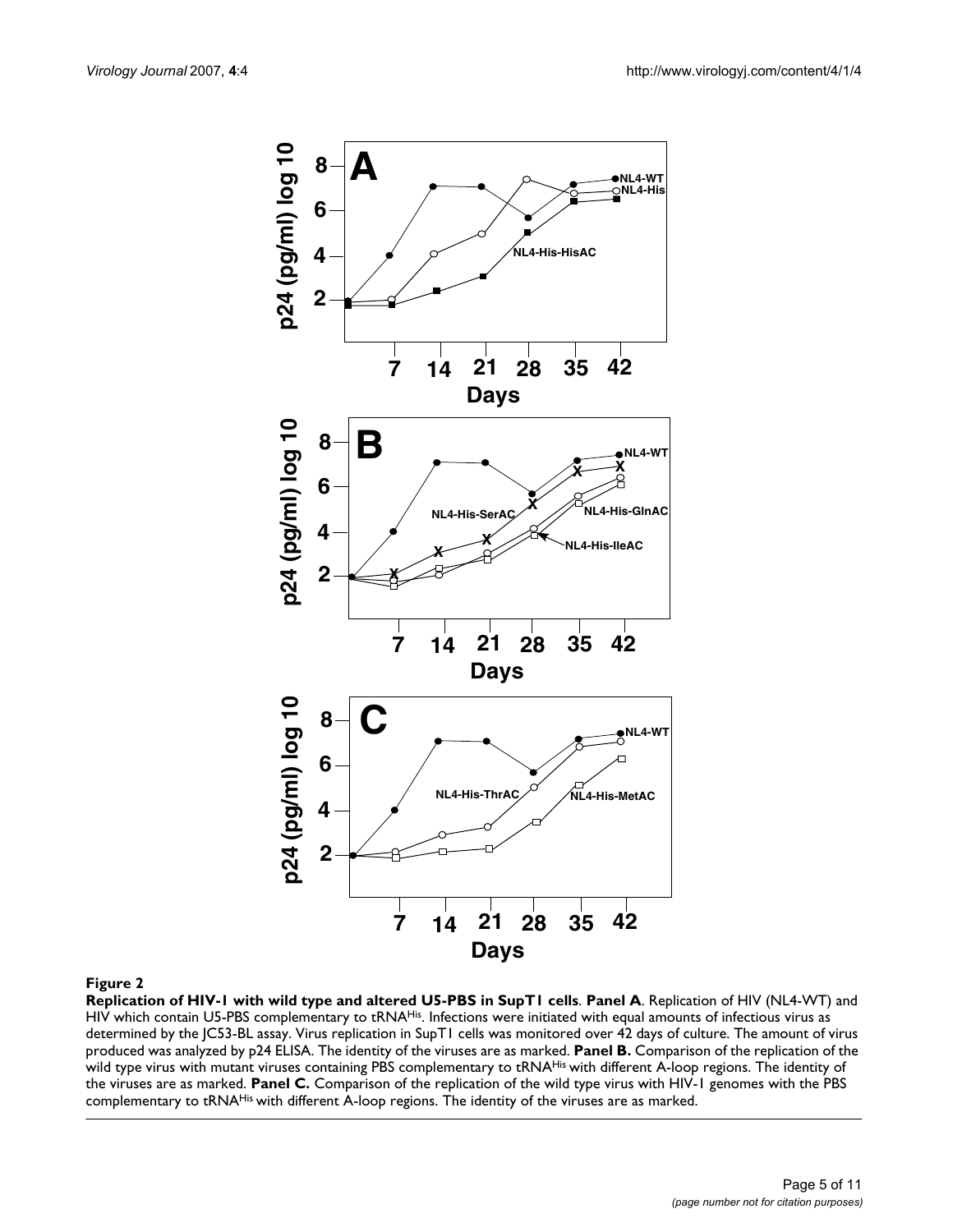

#### Figure 2

**Replication of HIV-1 with wild type and altered U5-PBS in SupT1 cells**. **Panel A**. Replication of HIV (NL4-WT) and HIV which contain U5-PBS complementary to tRNAHis. Infections were initiated with equal amounts of infectious virus as determined by the JC53-BL assay. Virus replication in SupT1 cells was monitored over 42 days of culture. The amount of virus produced was analyzed by p24 ELISA. The identity of the viruses are as marked. **Panel B.** Comparison of the replication of the wild type virus with mutant viruses containing PBS complementary to tRNA<sup>His</sup> with different A-loop regions. The identity of the viruses are as marked. **Panel C.** Comparison of the replication of the wild type virus with HIV-1 genomes with the PBS complementary to tRNAHis with different A-loop regions. The identity of the viruses are as marked.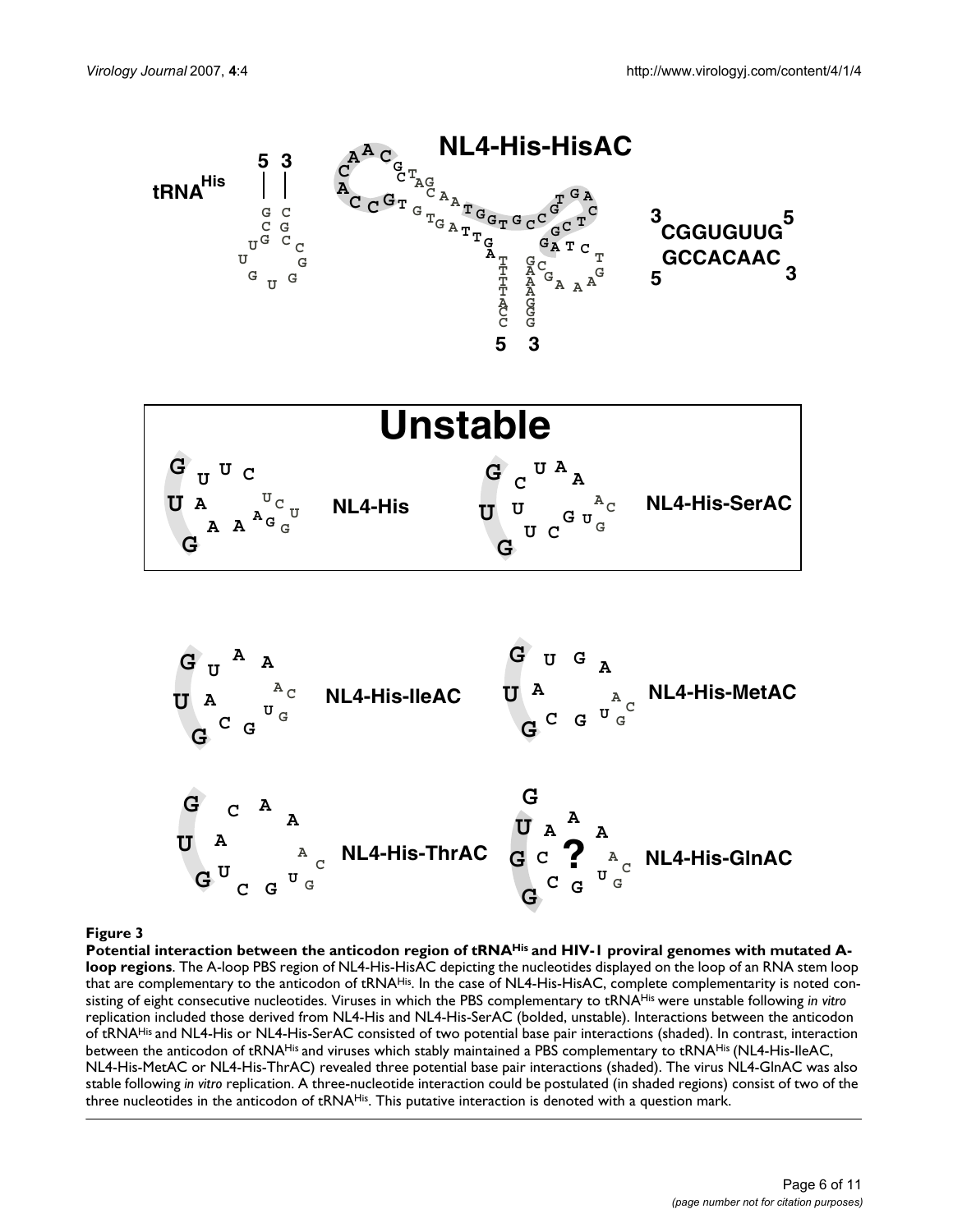

#### Potential interaction between the anticodon region of tRNAHis **Figure 3** and HIV-1 proviral genomes with mutated A-loop regions

Potential interaction between the anticodon region of tRNA<sup>His</sup> and HIV-1 proviral genomes with mutated A**loop regions**. The A-loop PBS region of NL4-His-HisAC depicting the nucleotides displayed on the loop of an RNA stem loop that are complementary to the anticodon of tRNAHis. In the case of NL4-His-HisAC, complete complementarity is noted consisting of eight consecutive nucleotides. Viruses in which the PBS complementary to tRNAHis were unstable following *in vitro*  replication included those derived from NL4-His and NL4-His-SerAC (bolded, unstable). Interactions between the anticodon of tRNAHis and NL4-His or NL4-His-SerAC consisted of two potential base pair interactions (shaded). In contrast, interaction between the anticodon of tRNA<sup>His</sup> and viruses which stably maintained a PBS complementary to tRNA<sup>His</sup> (NL4-His-IleAC, NL4-His-MetAC or NL4-His-ThrAC) revealed three potential base pair interactions (shaded). The virus NL4-GlnAC was also stable following *in vitro* replication. A three-nucleotide interaction could be postulated (in shaded regions) consist of two of the three nucleotides in the anticodon of tRNA<sup>His</sup>. This putative interaction is denoted with a question mark.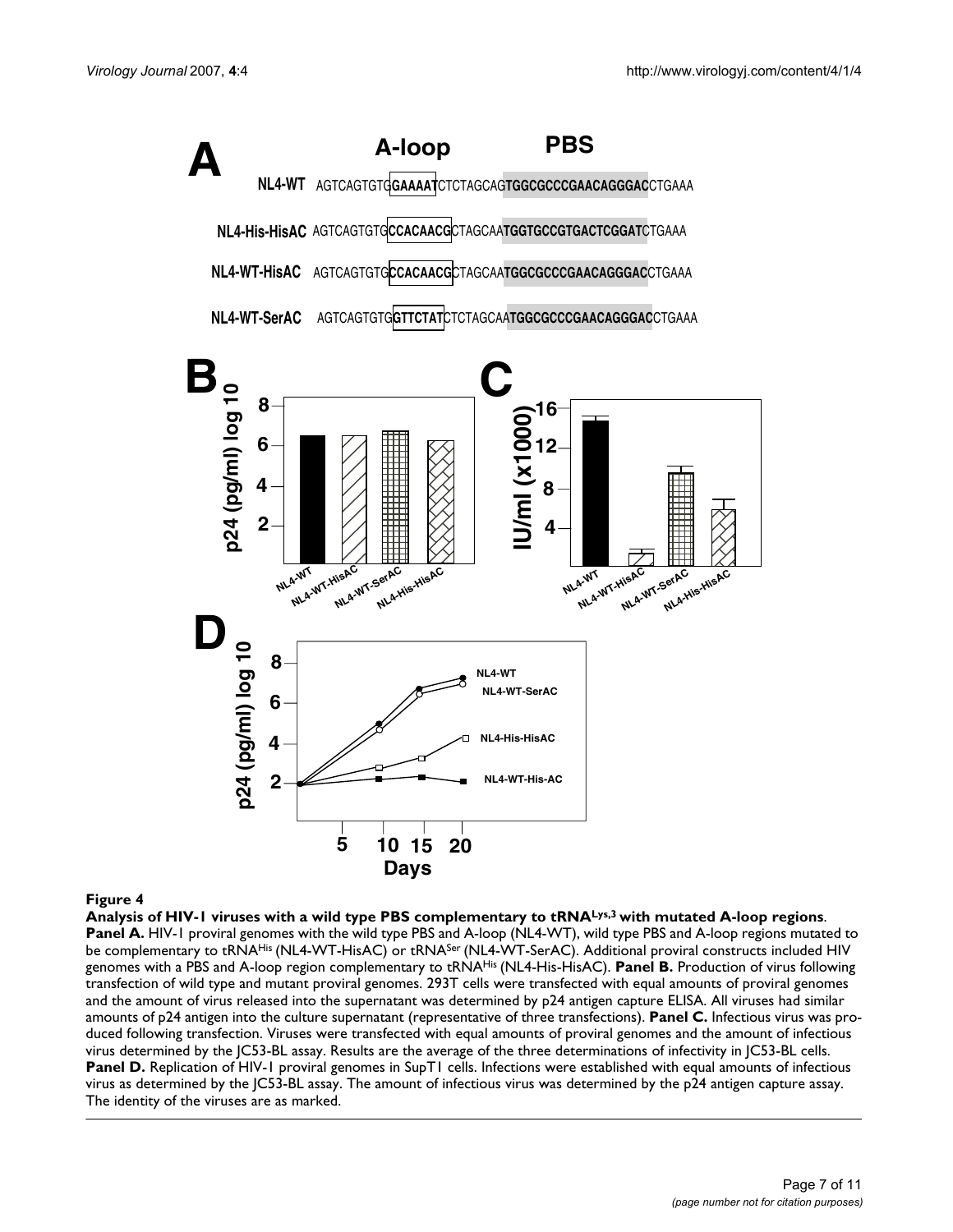

#### **Figure 4** Analysis of HIV-1 viruses with a with a wild type PBS complementary to the mutated A-loop regions with mutated A-loop regions with mutated A-loop regions with mutated A-loop regions with mutated A-loop regions w

**Analysis of HIV-1 viruses with a wild type PBS complementary to tRNALys,3 with mutated A-loop regions**. **Panel A. HIV-1** proviral genomes with the wild type PBS and A-loop (NL4-WT), wild type PBS and A-loop regions mutated to be complementary to tRNA<sup>His</sup> (NL4-WT-HisAC) or tRNA<sup>Ser</sup> (NL4-WT-SerAC). Additional proviral constructs included HIV genomes with a PBS and A-loop region complementary to tRNAHis (NL4-His-HisAC). **Panel B.** Production of virus following transfection of wild type and mutant proviral genomes. 293T cells were transfected with equal amounts of proviral genomes and the amount of virus released into the supernatant was determined by p24 antigen capture ELISA. All viruses had similar amounts of p24 antigen into the culture supernatant (representative of three transfections). **Panel C.** Infectious virus was produced following transfection. Viruses were transfected with equal amounts of proviral genomes and the amount of infectious virus determined by the JC53-BL assay. Results are the average of the three determinations of infectivity in JC53-BL cells. Panel D. Replication of HIV-1 proviral genomes in SupT1 cells. Infections were established with equal amounts of infectious virus as determined by the JC53-BL assay. The amount of infectious virus was determined by the p24 antigen capture assay. The identity of the viruses are as marked.

**20**

**NL4-WT-His-AC**

**5 10 15**

**2**

**4**

**Days**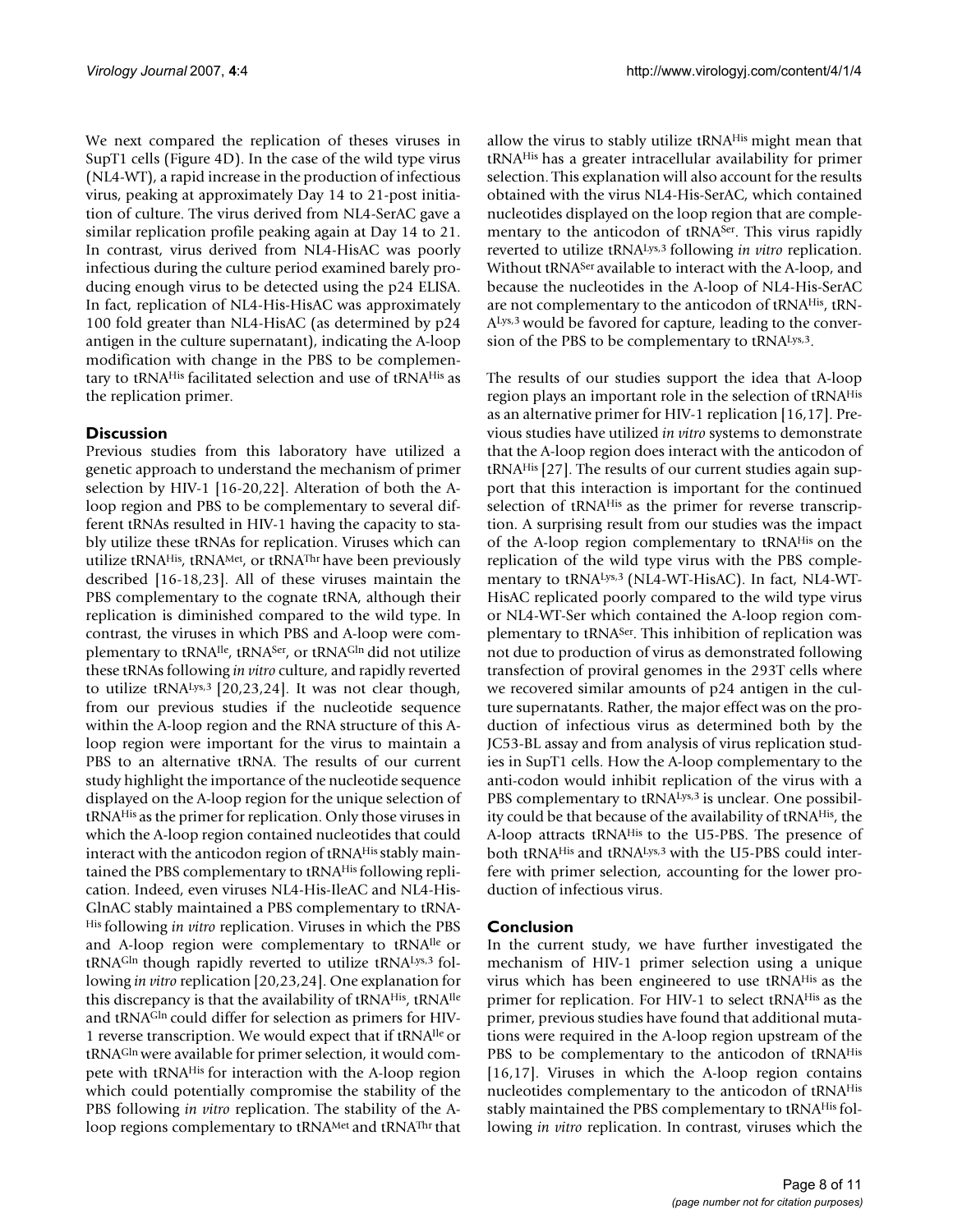We next compared the replication of theses viruses in SupT1 cells (Figure 4D). In the case of the wild type virus (NL4-WT), a rapid increase in the production of infectious virus, peaking at approximately Day 14 to 21-post initiation of culture. The virus derived from NL4-SerAC gave a similar replication profile peaking again at Day 14 to 21. In contrast, virus derived from NL4-HisAC was poorly infectious during the culture period examined barely producing enough virus to be detected using the p24 ELISA. In fact, replication of NL4-His-HisAC was approximately 100 fold greater than NL4-HisAC (as determined by p24 antigen in the culture supernatant), indicating the A-loop modification with change in the PBS to be complementary to tRNAHis facilitated selection and use of tRNAHis as the replication primer.

#### **Discussion**

Previous studies from this laboratory have utilized a genetic approach to understand the mechanism of primer selection by HIV-1 [16-20,22]. Alteration of both the Aloop region and PBS to be complementary to several different tRNAs resulted in HIV-1 having the capacity to stably utilize these tRNAs for replication. Viruses which can utilize tRNAHis, tRNAMet, or tRNAThr have been previously described [16-18,23]. All of these viruses maintain the PBS complementary to the cognate tRNA, although their replication is diminished compared to the wild type. In contrast, the viruses in which PBS and A-loop were complementary to tRNAIle, tRNASer, or tRNAGln did not utilize these tRNAs following *in vitro* culture, and rapidly reverted to utilize tRNALys,3 [20,23,24]. It was not clear though, from our previous studies if the nucleotide sequence within the A-loop region and the RNA structure of this Aloop region were important for the virus to maintain a PBS to an alternative tRNA. The results of our current study highlight the importance of the nucleotide sequence displayed on the A-loop region for the unique selection of tRNAHis as the primer for replication. Only those viruses in which the A-loop region contained nucleotides that could interact with the anticodon region of tRNA<sup>His</sup> stably maintained the PBS complementary to tRNA<sup>His</sup> following replication. Indeed, even viruses NL4-His-IleAC and NL4-His-GlnAC stably maintained a PBS complementary to tRNA-His following *in vitro* replication. Viruses in which the PBS and A-loop region were complementary to tRNAIle or tRNAGln though rapidly reverted to utilize tRNALys,3 following *in vitro* replication [20,23,24]. One explanation for this discrepancy is that the availability of tRNA<sup>His</sup>, tRNA<sup>Ile</sup> and tRNAGln could differ for selection as primers for HIV-1 reverse transcription. We would expect that if tRNAIle or tRNAGln were available for primer selection, it would compete with tRNAHis for interaction with the A-loop region which could potentially compromise the stability of the PBS following *in vitro* replication. The stability of the Aloop regions complementary to tRNAMet and tRNAThr that

allow the virus to stably utilize tRNAHis might mean that tRNAHis has a greater intracellular availability for primer selection. This explanation will also account for the results obtained with the virus NL4-His-SerAC, which contained nucleotides displayed on the loop region that are complementary to the anticodon of tRNA<sup>Ser</sup>. This virus rapidly reverted to utilize tRNALys,3 following *in vitro* replication. Without tRNASer available to interact with the A-loop, and because the nucleotides in the A-loop of NL4-His-SerAC are not complementary to the anticodon of tRNAHis, tRN-ALys,3 would be favored for capture, leading to the conversion of the PBS to be complementary to tRNALys,3.

The results of our studies support the idea that A-loop region plays an important role in the selection of tRNAHis as an alternative primer for HIV-1 replication [16,17]. Previous studies have utilized *in vitro* systems to demonstrate that the A-loop region does interact with the anticodon of tRNAHis [27]. The results of our current studies again support that this interaction is important for the continued selection of tRNA<sup>His</sup> as the primer for reverse transcription. A surprising result from our studies was the impact of the A-loop region complementary to tRNAHis on the replication of the wild type virus with the PBS complementary to tRNALys,3 (NL4-WT-HisAC). In fact, NL4-WT-HisAC replicated poorly compared to the wild type virus or NL4-WT-Ser which contained the A-loop region complementary to tRNASer. This inhibition of replication was not due to production of virus as demonstrated following transfection of proviral genomes in the 293T cells where we recovered similar amounts of p24 antigen in the culture supernatants. Rather, the major effect was on the production of infectious virus as determined both by the JC53-BL assay and from analysis of virus replication studies in SupT1 cells. How the A-loop complementary to the anti-codon would inhibit replication of the virus with a PBS complementary to tRNA<sup>Lys,3</sup> is unclear. One possibility could be that because of the availability of tRNAHis, the A-loop attracts tRNAHis to the U5-PBS. The presence of both tRNAHis and tRNALys,3 with the U5-PBS could interfere with primer selection, accounting for the lower production of infectious virus.

#### **Conclusion**

In the current study, we have further investigated the mechanism of HIV-1 primer selection using a unique virus which has been engineered to use tRNAHis as the primer for replication. For HIV-1 to select tRNAHis as the primer, previous studies have found that additional mutations were required in the A-loop region upstream of the PBS to be complementary to the anticodon of tRNAHis [16,17]. Viruses in which the A-loop region contains nucleotides complementary to the anticodon of tRNAHis stably maintained the PBS complementary to tRNAHis following *in vitro* replication. In contrast, viruses which the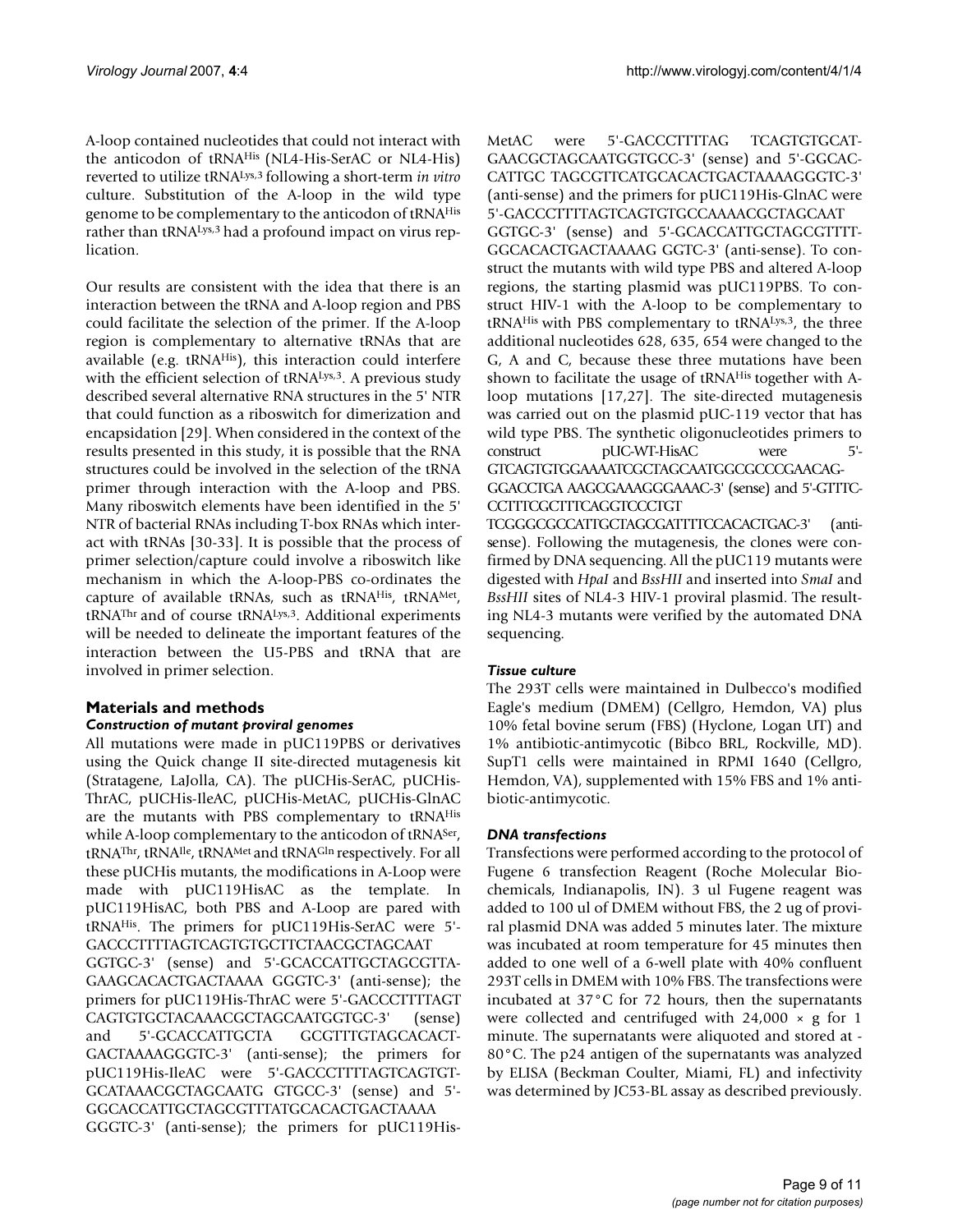A-loop contained nucleotides that could not interact with the anticodon of tRNAHis (NL4-His-SerAC or NL4-His) reverted to utilize tRNALys,3 following a short-term *in vitro* culture. Substitution of the A-loop in the wild type genome to be complementary to the anticodon of tRNAHis rather than tRNA<sup>Lys, 3</sup> had a profound impact on virus replication.

Our results are consistent with the idea that there is an interaction between the tRNA and A-loop region and PBS could facilitate the selection of the primer. If the A-loop region is complementary to alternative tRNAs that are available (e.g. tRNA<sup>His</sup>), this interaction could interfere with the efficient selection of tRNALys,3. A previous study described several alternative RNA structures in the 5' NTR that could function as a riboswitch for dimerization and encapsidation [29]. When considered in the context of the results presented in this study, it is possible that the RNA structures could be involved in the selection of the tRNA primer through interaction with the A-loop and PBS. Many riboswitch elements have been identified in the 5' NTR of bacterial RNAs including T-box RNAs which interact with tRNAs [30-33]. It is possible that the process of primer selection/capture could involve a riboswitch like mechanism in which the A-loop-PBS co-ordinates the capture of available tRNAs, such as tRNAHis, tRNAMet, tRNAThr and of course tRNALys,3. Additional experiments will be needed to delineate the important features of the interaction between the U5-PBS and tRNA that are involved in primer selection.

### **Materials and methods**

#### *Construction of mutant proviral genomes*

All mutations were made in pUC119PBS or derivatives using the Quick change II site-directed mutagenesis kit (Stratagene, LaJolla, CA). The pUCHis-SerAC, pUCHis-ThrAC, pUCHis-IleAC, pUCHis-MetAC, pUCHis-GlnAC are the mutants with PBS complementary to tRNAHis while A-loop complementary to the anticodon of tRNA<sup>Ser</sup>, tRNAThr, tRNAIle, tRNAMet and tRNAGln respectively. For all these pUCHis mutants, the modifications in A-Loop were made with pUC119HisAC as the template. In pUC119HisAC, both PBS and A-Loop are pared with tRNAHis. The primers for pUC119His-SerAC were 5'- GACCCTTTTAGTCAGTGTGCTTCTAACGCTAGCAAT GGTGC-3' (sense) and 5'-GCACCATTGCTAGCGTTA-GAAGCACACTGACTAAAA GGGTC-3' (anti-sense); the primers for pUC119His-ThrAC were 5'-GACCCTTTTAGT CAGTGTGCTACAAACGCTAGCAATGGTGC-3' (sense) and 5'-GCACCATTGCTA GCGTTTGTAGCACACT-GACTAAAAGGGTC-3' (anti-sense); the primers for pUC119His-IleAC were 5'-GACCCTTTTAGTCAGTGT-GCATAAACGCTAGCAATG GTGCC-3' (sense) and 5'-

GGCACCATTGCTAGCGTTTATGCACACTGACTAAAA GGGTC-3' (anti-sense); the primers for pUC119HisMetAC were 5'-GACCCTTTTAG TCAGTGTGCAT-GAACGCTAGCAATGGTGCC-3' (sense) and 5'-GGCAC-CATTGC TAGCGTTCATGCACACTGACTAAAAGGGTC-3' (anti-sense) and the primers for pUC119His-GlnAC were 5'-GACCCTTTTAGTCAGTGTGCCAAAACGCTAGCAAT GGTGC-3' (sense) and 5'-GCACCATTGCTAGCGTTTT-GGCACACTGACTAAAAG GGTC-3' (anti-sense). To construct the mutants with wild type PBS and altered A-loop regions, the starting plasmid was pUC119PBS. To construct HIV-1 with the A-loop to be complementary to tRNAHis with PBS complementary to tRNALys,3, the three additional nucleotides 628, 635, 654 were changed to the G, A and C, because these three mutations have been shown to facilitate the usage of tRNA<sup>His</sup> together with Aloop mutations [17,27]. The site-directed mutagenesis was carried out on the plasmid pUC-119 vector that has wild type PBS. The synthetic oligonucleotides primers to construct pUC-WT-HisAC were 5'- GTCAGTGTGGAAAATCGCTAGCAATGGCGCCCGAACAG-GGACCTGA AAGCGAAAGGGAAAC-3' (sense) and 5'-GTTTC-CCTTTCGCTTTCAGGTCCCTGT

TCGGGCGCCATTGCTAGCGATTTTCCACACTGAC-3' (antisense). Following the mutagenesis, the clones were confirmed by DNA sequencing. All the pUC119 mutants were digested with *HpaI* and *BssHII* and inserted into *SmaI* and *BssHII* sites of NL4-3 HIV-1 proviral plasmid. The resulting NL4-3 mutants were verified by the automated DNA sequencing.

#### *Tissue culture*

The 293T cells were maintained in Dulbecco's modified Eagle's medium (DMEM) (Cellgro, Hemdon, VA) plus 10% fetal bovine serum (FBS) (Hyclone, Logan UT) and 1% antibiotic-antimycotic (Bibco BRL, Rockville, MD). SupT1 cells were maintained in RPMI 1640 (Cellgro, Hemdon, VA), supplemented with 15% FBS and 1% antibiotic-antimycotic.

#### *DNA transfections*

Transfections were performed according to the protocol of Fugene 6 transfection Reagent (Roche Molecular Biochemicals, Indianapolis, IN). 3 ul Fugene reagent was added to 100 ul of DMEM without FBS, the 2 ug of proviral plasmid DNA was added 5 minutes later. The mixture was incubated at room temperature for 45 minutes then added to one well of a 6-well plate with 40% confluent 293T cells in DMEM with 10% FBS. The transfections were incubated at 37°C for 72 hours, then the supernatants were collected and centrifuged with  $24,000 \times g$  for 1 minute. The supernatants were aliquoted and stored at - 80°C. The p24 antigen of the supernatants was analyzed by ELISA (Beckman Coulter, Miami, FL) and infectivity was determined by JC53-BL assay as described previously.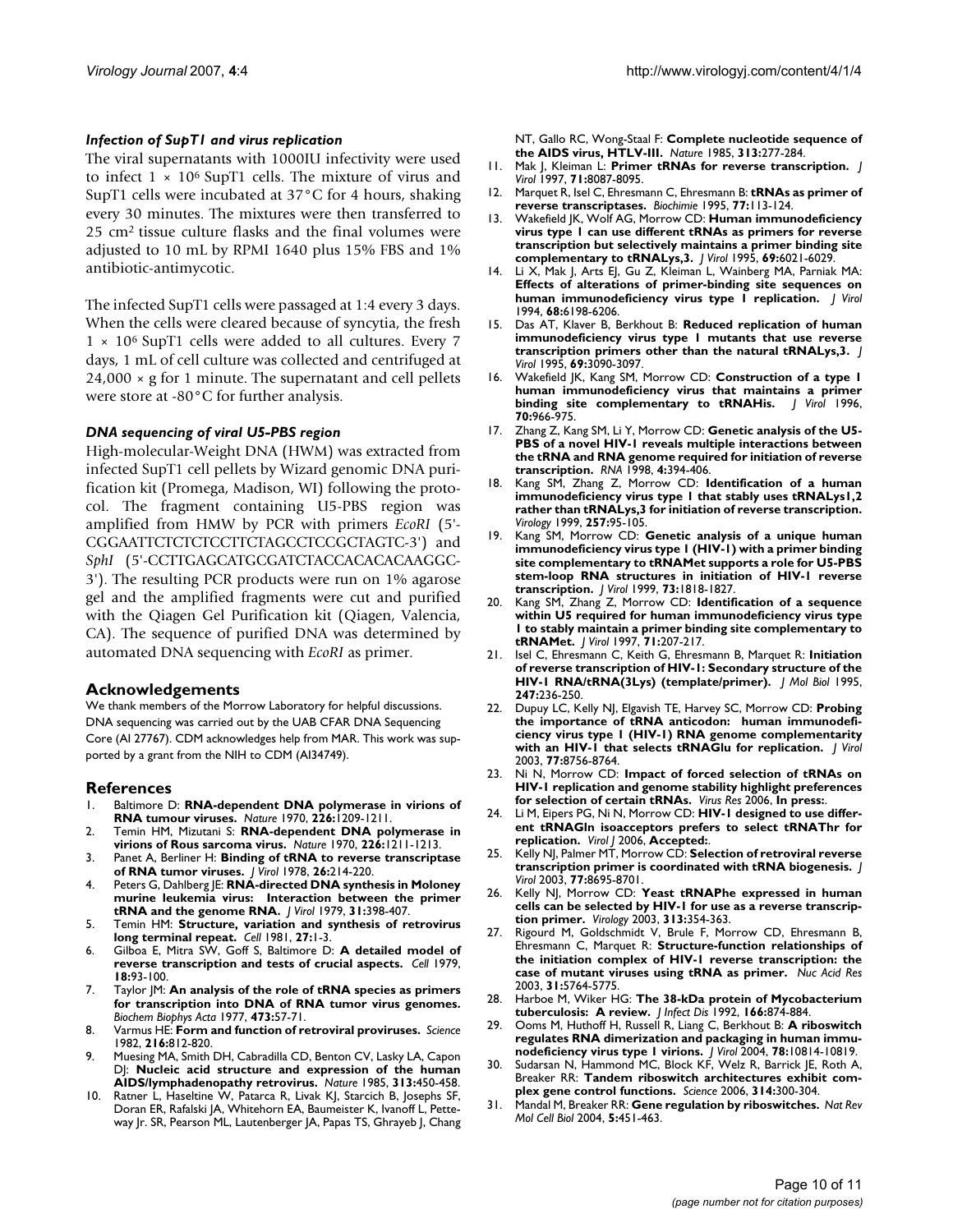#### *Infection of SupT1 and virus replication*

The viral supernatants with 1000IU infectivity were used to infect  $1 \times 10^6$  SupT1 cells. The mixture of virus and SupT1 cells were incubated at 37°C for 4 hours, shaking every 30 minutes. The mixtures were then transferred to 25 cm2 tissue culture flasks and the final volumes were adjusted to 10 mL by RPMI 1640 plus 15% FBS and 1% antibiotic-antimycotic.

The infected SupT1 cells were passaged at 1:4 every 3 days. When the cells were cleared because of syncytia, the fresh 1 × 106 SupT1 cells were added to all cultures. Every 7 days, 1 mL of cell culture was collected and centrifuged at  $24,000 \times g$  for 1 minute. The supernatant and cell pellets were store at -80°C for further analysis.

#### *DNA sequencing of viral U5-PBS region*

High-molecular-Weight DNA (HWM) was extracted from infected SupT1 cell pellets by Wizard genomic DNA purification kit (Promega, Madison, WI) following the protocol. The fragment containing U5-PBS region was amplified from HMW by PCR with primers *EcoRI* (5'- CGGAATTCTCTCTCCTTCTAGCCTCCGCTAGTC-3') and *SphI* (5'-CCTTGAGCATGCGATCTACCACACACAAGGC-3'). The resulting PCR products were run on 1% agarose gel and the amplified fragments were cut and purified with the Qiagen Gel Purification kit (Qiagen, Valencia, CA). The sequence of purified DNA was determined by automated DNA sequencing with *EcoRI* as primer.

#### **Acknowledgements**

We thank members of the Morrow Laboratory for helpful discussions. DNA sequencing was carried out by the UAB CFAR DNA Sequencing Core (AI 27767). CDM acknowledges help from MAR. This work was supported by a grant from the NIH to CDM (AI34749).

#### **References**

- 1. Baltimore D: **[RNA-dependent DNA polymerase in virions of](http://www.ncbi.nlm.nih.gov/entrez/query.fcgi?cmd=Retrieve&db=PubMed&dopt=Abstract&list_uids=4316300) [RNA tumour viruses.](http://www.ncbi.nlm.nih.gov/entrez/query.fcgi?cmd=Retrieve&db=PubMed&dopt=Abstract&list_uids=4316300)** *Nature* 1970, **226:**1209-1211.
- 2. Temin HM, Mizutani S: **[RNA-dependent DNA polymerase in](http://www.ncbi.nlm.nih.gov/entrez/query.fcgi?cmd=Retrieve&db=PubMed&dopt=Abstract&list_uids=4316301) [virions of Rous sarcoma virus.](http://www.ncbi.nlm.nih.gov/entrez/query.fcgi?cmd=Retrieve&db=PubMed&dopt=Abstract&list_uids=4316301)** *Nature* 1970, **226:**1211-1213.
- 3. Panet A, Berliner H: **[Binding of tRNA to reverse transcriptase](http://www.ncbi.nlm.nih.gov/entrez/query.fcgi?cmd=Retrieve&db=PubMed&dopt=Abstract&list_uids=77907) [of RNA tumor viruses.](http://www.ncbi.nlm.nih.gov/entrez/query.fcgi?cmd=Retrieve&db=PubMed&dopt=Abstract&list_uids=77907)** *J Virol* 1978, **26:**214-220.
- Peters G, Dahlberg JE: [RNA-directed DNA synthesis in Moloney](http://www.ncbi.nlm.nih.gov/entrez/query.fcgi?cmd=Retrieve&db=PubMed&dopt=Abstract&list_uids=480476) **[murine leukemia virus: Interaction between the primer](http://www.ncbi.nlm.nih.gov/entrez/query.fcgi?cmd=Retrieve&db=PubMed&dopt=Abstract&list_uids=480476) [tRNA and the genome RNA.](http://www.ncbi.nlm.nih.gov/entrez/query.fcgi?cmd=Retrieve&db=PubMed&dopt=Abstract&list_uids=480476)** *J Virol* 1979, **31:**398-407.
- 5. Temin HM: **[Structure, variation and synthesis of retrovirus](http://www.ncbi.nlm.nih.gov/entrez/query.fcgi?cmd=Retrieve&db=PubMed&dopt=Abstract&list_uids=7326747) [long terminal repeat.](http://www.ncbi.nlm.nih.gov/entrez/query.fcgi?cmd=Retrieve&db=PubMed&dopt=Abstract&list_uids=7326747)** *Cell* 1981, **27:**1-3.
- 6. Gilboa E, Mitra SW, Goff S, Baltimore D: **[A detailed model of](http://www.ncbi.nlm.nih.gov/entrez/query.fcgi?cmd=Retrieve&db=PubMed&dopt=Abstract&list_uids=509527) [reverse transcription and tests of crucial aspects.](http://www.ncbi.nlm.nih.gov/entrez/query.fcgi?cmd=Retrieve&db=PubMed&dopt=Abstract&list_uids=509527)** *Cell* 1979, **18:**93-100.
- 7. Taylor JM: **[An analysis of the role of tRNA species as primers](http://www.ncbi.nlm.nih.gov/entrez/query.fcgi?cmd=Retrieve&db=PubMed&dopt=Abstract&list_uids=66067) [for transcription into DNA of RNA tumor virus genomes.](http://www.ncbi.nlm.nih.gov/entrez/query.fcgi?cmd=Retrieve&db=PubMed&dopt=Abstract&list_uids=66067)** *Biochem Biophys Acta* 1977, **473:**57-71.
- 8. Varmus HE: **[Form and function of retroviral proviruses.](http://www.ncbi.nlm.nih.gov/entrez/query.fcgi?cmd=Retrieve&db=PubMed&dopt=Abstract&list_uids=6177038)** *Science* 1982, **216:**812-820.
- 9. Muesing MA, Smith DH, Cabradilla CD, Benton CV, Lasky LA, Capon DJ: **[Nucleic acid structure and expression of the human](http://www.ncbi.nlm.nih.gov/entrez/query.fcgi?cmd=Retrieve&db=PubMed&dopt=Abstract&list_uids=2982104) [AIDS/lymphadenopathy retrovirus.](http://www.ncbi.nlm.nih.gov/entrez/query.fcgi?cmd=Retrieve&db=PubMed&dopt=Abstract&list_uids=2982104)** *Nature* 1985, **313:**450-458.
- Ratner L, Haseltine W, Patarca R, Livak KJ, Starcich B, Josephs SF, Doran ER, Rafalski JA, Whitehorn EA, Baumeister K, Ivanoff L, Petteway Jr. SR, Pearson ML, Lautenberger JA, Papas TS, Ghrayeb J, Chang

NT, Gallo RC, Wong-Staal F: **[Complete nucleotide sequence of](http://www.ncbi.nlm.nih.gov/entrez/query.fcgi?cmd=Retrieve&db=PubMed&dopt=Abstract&list_uids=2578615) [the AIDS virus, HTLV-III.](http://www.ncbi.nlm.nih.gov/entrez/query.fcgi?cmd=Retrieve&db=PubMed&dopt=Abstract&list_uids=2578615)** *Nature* 1985, **313:**277-284.

- 11. Mak J, Kleiman L: **[Primer tRNAs for reverse transcription.](http://www.ncbi.nlm.nih.gov/entrez/query.fcgi?cmd=Retrieve&db=PubMed&dopt=Abstract&list_uids=9343157)** *J Virol* 1997, **71:**8087-8095.
- 12. Marquet R, Isel C, Ehresmann C, Ehresmann B: **[tRNAs as primer of](http://www.ncbi.nlm.nih.gov/entrez/query.fcgi?cmd=Retrieve&db=PubMed&dopt=Abstract&list_uids=7541250) [reverse transcriptases.](http://www.ncbi.nlm.nih.gov/entrez/query.fcgi?cmd=Retrieve&db=PubMed&dopt=Abstract&list_uids=7541250)** *Biochimie* 1995, **77:**113-124.
- 13. Wakefield JK, Wolf AG, Morrow CD: **[Human immunodeficiency](http://www.ncbi.nlm.nih.gov/entrez/query.fcgi?cmd=Retrieve&db=PubMed&dopt=Abstract&list_uids=7545240) [virus type 1 can use different tRNAs as primers for reverse](http://www.ncbi.nlm.nih.gov/entrez/query.fcgi?cmd=Retrieve&db=PubMed&dopt=Abstract&list_uids=7545240) transcription but selectively maintains a primer binding site [complementary to tRNALys,3.](http://www.ncbi.nlm.nih.gov/entrez/query.fcgi?cmd=Retrieve&db=PubMed&dopt=Abstract&list_uids=7545240)** *J Virol* 1995, **69:**6021-6029.
- 14. Li X, Mak J, Arts EJ, Gu Z, Kleiman L, Wainberg MA, Parniak MA: **[Effects of alterations of primer-binding site sequences on](http://www.ncbi.nlm.nih.gov/entrez/query.fcgi?cmd=Retrieve&db=PubMed&dopt=Abstract&list_uids=7521916) [human immunodeficiency virus type 1 replication.](http://www.ncbi.nlm.nih.gov/entrez/query.fcgi?cmd=Retrieve&db=PubMed&dopt=Abstract&list_uids=7521916)** *J Virol* 1994, **68:**6198-6206.
- 15. Das AT, Klaver B, Berkhout B: **[Reduced replication of human](http://www.ncbi.nlm.nih.gov/entrez/query.fcgi?cmd=Retrieve&db=PubMed&dopt=Abstract&list_uids=7707537) [immunodeficiency virus type 1 mutants that use reverse](http://www.ncbi.nlm.nih.gov/entrez/query.fcgi?cmd=Retrieve&db=PubMed&dopt=Abstract&list_uids=7707537) [transcription primers other than the natural tRNALys,3.](http://www.ncbi.nlm.nih.gov/entrez/query.fcgi?cmd=Retrieve&db=PubMed&dopt=Abstract&list_uids=7707537)** *J Virol* 1995, **69:**3090-3097.
- 16. Wakefield JK, Kang SM, Morrow CD: **[Construction of a type 1](http://www.ncbi.nlm.nih.gov/entrez/query.fcgi?cmd=Retrieve&db=PubMed&dopt=Abstract&list_uids=8551637) [human immunodeficiency virus that maintains a primer](http://www.ncbi.nlm.nih.gov/entrez/query.fcgi?cmd=Retrieve&db=PubMed&dopt=Abstract&list_uids=8551637)** [binding site complementary to tRNAHis.](http://www.ncbi.nlm.nih.gov/entrez/query.fcgi?cmd=Retrieve&db=PubMed&dopt=Abstract&list_uids=8551637) **70:**966-975.
- 17. Zhang Z, Kang SM, Li Y, Morrow CD: **[Genetic analysis of the U5-](http://www.ncbi.nlm.nih.gov/entrez/query.fcgi?cmd=Retrieve&db=PubMed&dopt=Abstract&list_uids=9630246) [PBS of a novel HIV-1 reveals multiple interactions between](http://www.ncbi.nlm.nih.gov/entrez/query.fcgi?cmd=Retrieve&db=PubMed&dopt=Abstract&list_uids=9630246) the tRNA and RNA genome required for initiation of reverse [transcription.](http://www.ncbi.nlm.nih.gov/entrez/query.fcgi?cmd=Retrieve&db=PubMed&dopt=Abstract&list_uids=9630246)** *RNA* 1998, **4:**394-406.
- 18. Kang SM, Zhang Z, Morrow CD: **[Identification of a human](http://www.ncbi.nlm.nih.gov/entrez/query.fcgi?cmd=Retrieve&db=PubMed&dopt=Abstract&list_uids=10208924) [immunodeficiency virus type 1 that stably uses tRNALys1,2](http://www.ncbi.nlm.nih.gov/entrez/query.fcgi?cmd=Retrieve&db=PubMed&dopt=Abstract&list_uids=10208924) rather than tRNALys,3 for initiation of reverse transcription.** *Virology* 1999, **257:**95-105.
- 19. Kang SM, Morrow CD: **[Genetic analysis of a unique human](http://www.ncbi.nlm.nih.gov/entrez/query.fcgi?cmd=Retrieve&db=PubMed&dopt=Abstract&list_uids=9971759) immunodeficiency virus type 1 (HIV-1) with a primer binding [site complementary to tRNAMet supports a role for U5-PBS](http://www.ncbi.nlm.nih.gov/entrez/query.fcgi?cmd=Retrieve&db=PubMed&dopt=Abstract&list_uids=9971759) stem-loop RNA structures in initiation of HIV-1 reverse [transcription.](http://www.ncbi.nlm.nih.gov/entrez/query.fcgi?cmd=Retrieve&db=PubMed&dopt=Abstract&list_uids=9971759)** *J Virol* 1999, **73:**1818-1827.
- Kang SM, Zhang Z, Morrow CD: **[Identification of a sequence](http://www.ncbi.nlm.nih.gov/entrez/query.fcgi?cmd=Retrieve&db=PubMed&dopt=Abstract&list_uids=8985340) [within U5 required for human immunodeficiency virus type](http://www.ncbi.nlm.nih.gov/entrez/query.fcgi?cmd=Retrieve&db=PubMed&dopt=Abstract&list_uids=8985340) 1 to stably maintain a primer binding site complementary to [tRNAMet.](http://www.ncbi.nlm.nih.gov/entrez/query.fcgi?cmd=Retrieve&db=PubMed&dopt=Abstract&list_uids=8985340)** *J Virol* 1997, **71:**207-217.
- 21. Isel C, Ehresmann C, Keith G, Ehresmann B, Marquet R: **[Initiation](http://www.ncbi.nlm.nih.gov/entrez/query.fcgi?cmd=Retrieve&db=PubMed&dopt=Abstract&list_uids=7707372) [of reverse transcription of HIV-1: Secondary structure of the](http://www.ncbi.nlm.nih.gov/entrez/query.fcgi?cmd=Retrieve&db=PubMed&dopt=Abstract&list_uids=7707372) [HIV-1 RNA/tRNA\(3Lys\) \(template/primer\).](http://www.ncbi.nlm.nih.gov/entrez/query.fcgi?cmd=Retrieve&db=PubMed&dopt=Abstract&list_uids=7707372)** *J Mol Biol* 1995, **247:**236-250.
- 22. Dupuy LC, Kelly NJ, Elgavish TE, Harvey SC, Morrow CD: **[Probing](http://www.ncbi.nlm.nih.gov/entrez/query.fcgi?cmd=Retrieve&db=PubMed&dopt=Abstract&list_uids=12885895) [the importance of tRNA anticodon: human immunodefi](http://www.ncbi.nlm.nih.gov/entrez/query.fcgi?cmd=Retrieve&db=PubMed&dopt=Abstract&list_uids=12885895)ciency virus type 1 (HIV-1) RNA genome complementarity [with an HIV-1 that selects tRNAGlu for replication.](http://www.ncbi.nlm.nih.gov/entrez/query.fcgi?cmd=Retrieve&db=PubMed&dopt=Abstract&list_uids=12885895)** *J Virol* 2003, **77:**8756-8764.
- 23. Ni N, Morrow CD: **Impact of forced selection of tRNAs on HIV-1 replication and genome stability highlight preferences for selection of certain tRNAs.** *Virus Res* 2006, **In press:**.
- 24. Li M, Eipers PG, Ni N, Morrow CD: **HIV-1 designed to use different tRNAGln isoacceptors prefers to select tRNAThr for replication.** *Virol J* 2006, **Accepted:**.
- 25. Kelly NJ, Palmer MT, Morrow CD: **[Selection of retroviral reverse](http://www.ncbi.nlm.nih.gov/entrez/query.fcgi?cmd=Retrieve&db=PubMed&dopt=Abstract&list_uids=12885888) [transcription primer is coordinated with tRNA biogenesis.](http://www.ncbi.nlm.nih.gov/entrez/query.fcgi?cmd=Retrieve&db=PubMed&dopt=Abstract&list_uids=12885888)** *J Virol* 2003, **77:**8695-8701.
- 26. Kelly NJ, Morrow CD: **[Yeast tRNAPhe expressed in human](http://www.ncbi.nlm.nih.gov/entrez/query.fcgi?cmd=Retrieve&db=PubMed&dopt=Abstract&list_uids=12954204) [cells can be selected by HIV-1 for use as a reverse transcrip](http://www.ncbi.nlm.nih.gov/entrez/query.fcgi?cmd=Retrieve&db=PubMed&dopt=Abstract&list_uids=12954204)[tion primer.](http://www.ncbi.nlm.nih.gov/entrez/query.fcgi?cmd=Retrieve&db=PubMed&dopt=Abstract&list_uids=12954204)** *Virology* 2003, **313:**354-363.
- 27. Rigourd M, Goldschmidt V, Brule F, Morrow CD, Ehresmann B, Ehresmann C, Marquet R: **Structure-function relationships of the initiation complex of HIV-1 reverse transcription: the case of mutant viruses using tRNA as primer.** *Nuc Acid Res* 2003, **31:**5764-5775.
- 28. Harboe M, Wiker HG: **[The 38-kDa protein of Mycobacterium](http://www.ncbi.nlm.nih.gov/entrez/query.fcgi?cmd=Retrieve&db=PubMed&dopt=Abstract&list_uids=1527425) [tuberculosis: A review.](http://www.ncbi.nlm.nih.gov/entrez/query.fcgi?cmd=Retrieve&db=PubMed&dopt=Abstract&list_uids=1527425)** *J Infect Dis* 1992, **166:**874-884.
- 29. Ooms M, Huthoff H, Russell R, Liang C, Berkhout B: **[A riboswitch](http://www.ncbi.nlm.nih.gov/entrez/query.fcgi?cmd=Retrieve&db=PubMed&dopt=Abstract&list_uids=15367648) [regulates RNA dimerization and packaging in human immu](http://www.ncbi.nlm.nih.gov/entrez/query.fcgi?cmd=Retrieve&db=PubMed&dopt=Abstract&list_uids=15367648)[nodeficiency virus type 1 virions.](http://www.ncbi.nlm.nih.gov/entrez/query.fcgi?cmd=Retrieve&db=PubMed&dopt=Abstract&list_uids=15367648)** *J Virol* 2004, **78:**10814-10819.
- 30. Sudarsan N, Hammond MC, Block KF, Welz R, Barrick JE, Roth A, Breaker RR: **[Tandem riboswitch architectures exhibit com](http://www.ncbi.nlm.nih.gov/entrez/query.fcgi?cmd=Retrieve&db=PubMed&dopt=Abstract&list_uids=17038623)[plex gene control functions.](http://www.ncbi.nlm.nih.gov/entrez/query.fcgi?cmd=Retrieve&db=PubMed&dopt=Abstract&list_uids=17038623)** *Science* 2006, **314:**300-304.
- 31. Mandal M, Breaker RR: **[Gene regulation by riboswitches.](http://www.ncbi.nlm.nih.gov/entrez/query.fcgi?cmd=Retrieve&db=PubMed&dopt=Abstract&list_uids=15173824)** *Nat Rev Mol Cell Biol* 2004, **5:**451-463.